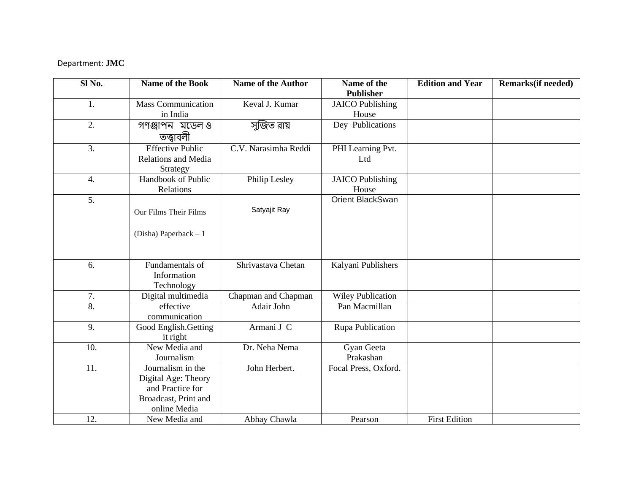## Department: **JMC**

| $SI$ No.          | Name of the Book          | <b>Name of the Author</b> | Name of the              | <b>Edition and Year</b> | <b>Remarks</b> (if needed) |
|-------------------|---------------------------|---------------------------|--------------------------|-------------------------|----------------------------|
|                   |                           |                           | <b>Publisher</b>         |                         |                            |
| 1.                | <b>Mass Communication</b> | Keval J. Kumar            | <b>JAICO</b> Publishing  |                         |                            |
|                   | in India                  |                           | House                    |                         |                            |
| 2.                | গণঞ্জাপন মডেলও            | সুজিত রায়                | Dey Publications         |                         |                            |
|                   | তত্ত্বাবলী                |                           |                          |                         |                            |
| 3.                | <b>Effective Public</b>   | C.V. Narasimha Reddi      | PHI Learning Pvt.        |                         |                            |
|                   | Relations and Media       |                           | Ltd                      |                         |                            |
|                   | Strategy                  |                           |                          |                         |                            |
| $\overline{4}$ .  | Handbook of Public        | Philip Lesley             | <b>JAICO</b> Publishing  |                         |                            |
|                   | Relations                 |                           | House                    |                         |                            |
| 5.                |                           |                           | Orient BlackSwan         |                         |                            |
|                   | Our Films Their Films     | Satyajit Ray              |                          |                         |                            |
|                   |                           |                           |                          |                         |                            |
|                   |                           |                           |                          |                         |                            |
|                   | (Disha) Paperback $-1$    |                           |                          |                         |                            |
|                   |                           |                           |                          |                         |                            |
|                   |                           |                           |                          |                         |                            |
| 6.                | Fundamentals of           | Shrivastava Chetan        | Kalyani Publishers       |                         |                            |
|                   | Information               |                           |                          |                         |                            |
|                   | Technology                |                           |                          |                         |                            |
| 7.                | Digital multimedia        | Chapman and Chapman       | <b>Wiley Publication</b> |                         |                            |
| $\overline{8}$ .  | effective                 | Adair John                | Pan Macmillan            |                         |                            |
|                   | communication             |                           |                          |                         |                            |
| 9.                | Good English.Getting      | Armani J C                | Rupa Publication         |                         |                            |
|                   | it right                  |                           |                          |                         |                            |
| 10.               | New Media and             | Dr. Neha Nema             | Gyan Geeta               |                         |                            |
|                   | Journalism                |                           | Prakashan                |                         |                            |
| $\overline{11}$ . | Journalism in the         | John Herbert.             | Focal Press, Oxford.     |                         |                            |
|                   | Digital Age: Theory       |                           |                          |                         |                            |
|                   | and Practice for          |                           |                          |                         |                            |
|                   | Broadcast, Print and      |                           |                          |                         |                            |
|                   | online Media              |                           |                          |                         |                            |
| 12.               | New Media and             | Abhay Chawla              | Pearson                  | <b>First Edition</b>    |                            |